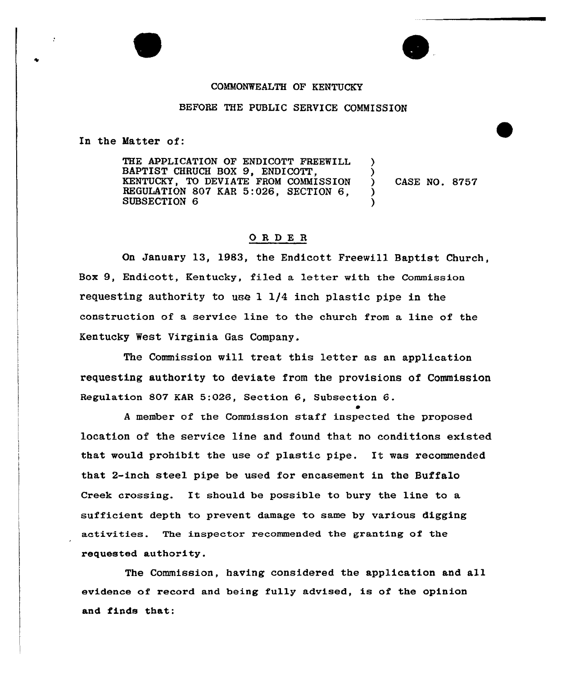## COMMONWEALTH OF KENTUCKY

## BEFORE THE PUBLIC SERVICE COMMISSION

In the Matter of:

THE APPLICATION OP ENDICOTT FREEWILL BAPTIST CHRUCH BOX 9, ENDICOTT, KENTUCKY, TO DEVIATE FROM COMMISSION REGULATION 807 KAR 5:026, SECTION 6, SUBSECTION 6 ) ) CASE NO. 8757 ) )

## ORDER

On January 13, 1983, the Endicott Freewill Baptist Church, Box 9, Endicott, Kentucky, filed a letter with the Commission requesting authority to use l 1/4 inch plastic pipe in the construction of a service line to the church from a line of the Kentucky West Virginia Gas Company.

The Commission will treat this letter as an application requesting authority to deviate from the provisions of Commission Regulation 807 EAR 5:026, Section 6, Subsection 6.  $\bullet$ 

<sup>A</sup> member of the Commission staff inspected the proposed location of the service line and found that no conditions existed that would prohibit the use of plastic pipe. It was recommended that 2-inch steel pipe be used for encasement in the Buffalo Creek crossing. It should be possible to bury the line to <sup>a</sup> sufficient depth to prevent damage to same by various digging activities. The inspector recommended the granting of the requested authority.

The Commission, having considered the application and all evidence of record and being fully advised, is of the opinion and finds that: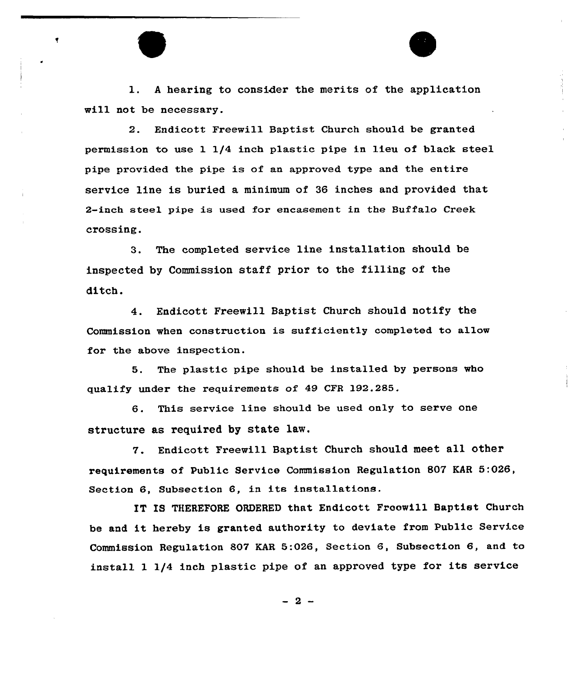l. <sup>A</sup> hearing to consider the merits of the application will not be necessary.

2. Endicott Freewill Baptist Church should be granted permission to use 1 1/4 inch plastic pipe in lieu of black steel pipe provided the pipe is of an approved type and the entire service line is buried a minimum of 36 inches and provided that 2-inch steel pipe is used for encasement in the Buffalo Creek crossing.

3. The completed service line installation should be inspected by Commission staff prior to the filling of the ditch.

4. Endicott Freewill Baptist Church should notify the Commission when construction is sufficiently completed to allow for the above inspection.

5. The plastic pipe should be installed by persons who gualify under the reguirements of 49 CFR 192.285.

6. This service line should be used only to serve one structure as required by state law.

7. Endicott Freewill Baptist Church should meet all other requirements of Public Service Commission Regulation 807 EAR 5:026, Section 6, Subsection 6, in its installations.

IT IS THEREFORE ORDERED that Endicott Froowill Baptist Church be and it hereby is granted authority to deviate from Public Service Commission Regulation 807 KAR 5:026, Section 6, Subsection 6, and to install 1 1/4 inch plastic pipe of an approved type for its service

 $-2-$